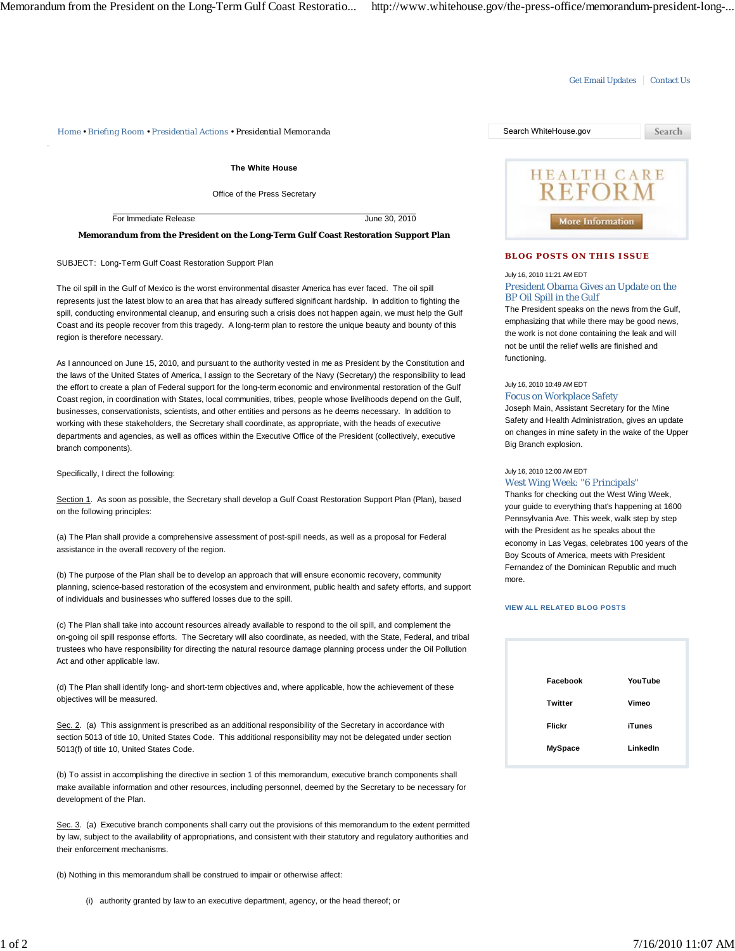## Get Email Updates | Contact Us

*Home • Briefing Room • Presidential Actions • Presidential Memoranda* Search WhiteHouse.gov

**The White House**

Office of the Press Secretary

For Immediate Release June 30, 2010

**Memorandum from the President on the Long-Term Gulf Coast Restoration Support Plan**

SUBJECT: Long-Term Gulf Coast Restoration Support Plan

The oil spill in the Gulf of Mexico is the worst environmental disaster America has ever faced. The oil spill represents just the latest blow to an area that has already suffered significant hardship. In addition to fighting the spill, conducting environmental cleanup, and ensuring such a crisis does not happen again, we must help the Gulf Coast and its people recover from this tragedy. A long-term plan to restore the unique beauty and bounty of this region is therefore necessary.

As I announced on June 15, 2010, and pursuant to the authority vested in me as President by the Constitution and the laws of the United States of America, I assign to the Secretary of the Navy (Secretary) the responsibility to lead the effort to create a plan of Federal support for the long-term economic and environmental restoration of the Gulf Coast region, in coordination with States, local communities, tribes, people whose livelihoods depend on the Gulf, businesses, conservationists, scientists, and other entities and persons as he deems necessary. In addition to working with these stakeholders, the Secretary shall coordinate, as appropriate, with the heads of executive departments and agencies, as well as offices within the Executive Office of the President (collectively, executive branch components).

Specifically, I direct the following:

Section 1. As soon as possible, the Secretary shall develop a Gulf Coast Restoration Support Plan (Plan), based on the following principles:

(a) The Plan shall provide a comprehensive assessment of post-spill needs, as well as a proposal for Federal assistance in the overall recovery of the region.

(b) The purpose of the Plan shall be to develop an approach that will ensure economic recovery, community planning, science-based restoration of the ecosystem and environment, public health and safety efforts, and support of individuals and businesses who suffered losses due to the spill.

(c) The Plan shall take into account resources already available to respond to the oil spill, and complement the on-going oil spill response efforts. The Secretary will also coordinate, as needed, with the State, Federal, and tribal trustees who have responsibility for directing the natural resource damage planning process under the Oil Pollution Act and other applicable law.

(d) The Plan shall identify long- and short-term objectives and, where applicable, how the achievement of these objectives will be measured.

Sec. 2. (a) This assignment is prescribed as an additional responsibility of the Secretary in accordance with section 5013 of title 10, United States Code. This additional responsibility may not be delegated under section 5013(f) of title 10, United States Code.

(b) To assist in accomplishing the directive in section 1 of this memorandum, executive branch components shall make available information and other resources, including personnel, deemed by the Secretary to be necessary for development of the Plan.

Sec. 3. (a) Executive branch components shall carry out the provisions of this memorandum to the extent permitted by law, subject to the availability of appropriations, and consistent with their statutory and regulatory authorities and their enforcement mechanisms.

(b) Nothing in this memorandum shall be construed to impair or otherwise affect:

(i) authority granted by law to an executive department, agency, or the head thereof; or



## **BLOG POSTS ON THIS ISSUE**

July 16, 2010 11:21 AM EDT

President Obama Gives an Update on the BP Oil Spill in the Gulf

The President speaks on the news from the Gulf, emphasizing that while there may be good news, the work is not done containing the leak and will not be until the relief wells are finished and functioning.

July 16, 2010 10:49 AM EDT

Focus on Workplace Safety

Joseph Main, Assistant Secretary for the Mine Safety and Health Administration, gives an update on changes in mine safety in the wake of the Upper Big Branch explosion.

## July 16, 2010 12:00 AM EDT

West Wing Week: "6 Principals"

Thanks for checking out the West Wing Week, your guide to everything that's happening at 1600 Pennsylvania Ave. This week, walk step by step with the President as he speaks about the economy in Las Vegas, celebrates 100 years of the Boy Scouts of America, meets with President Fernandez of the Dominican Republic and much more.

## **VIEW ALL RELATED BLOG POSTS**

| Facebook       | YouTube       |
|----------------|---------------|
| <b>Twitter</b> | Vimeo         |
| <b>Flickr</b>  | <b>iTunes</b> |
| <b>MySpace</b> | LinkedIn      |
|                |               |